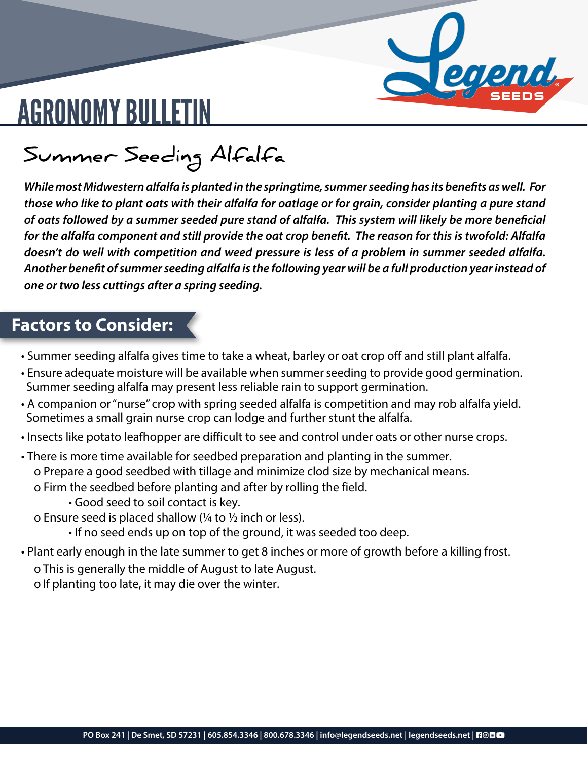# aend

## AGRONOMY BULLETIN

**Summer Seeding Alfalfa**

*While most Midwestern alfalfa is planted in the springtime, summer seeding has its benefits as well. For those who like to plant oats with their alfalfa for oatlage or for grain, consider planting a pure stand of oats followed by a summer seeded pure stand of alfalfa. This system will likely be more beneficial for the alfalfa component and still provide the oat crop benefit. The reason for this is twofold: Alfalfa doesn't do well with competition and weed pressure is less of a problem in summer seeded alfalfa. Another benefit of summer seeding alfalfa is the following year will be a full production year instead of one or two less cuttings after a spring seeding.*

#### **Factors to Consider:**

- Summer seeding alfalfa gives time to take a wheat, barley or oat crop off and still plant alfalfa.
- Ensure adequate moisture will be available when summer seeding to provide good germination. Summer seeding alfalfa may present less reliable rain to support germination.
- A companion or "nurse" crop with spring seeded alfalfa is competition and may rob alfalfa yield. Sometimes a small grain nurse crop can lodge and further stunt the alfalfa.
- Insects like potato leafhopper are difficult to see and control under oats or other nurse crops.

• There is more time available for seedbed preparation and planting in the summer. o Prepare a good seedbed with tillage and minimize clod size by mechanical means.

o Firm the seedbed before planting and after by rolling the field.

• Good seed to soil contact is key.

o Ensure seed is placed shallow (¼ to ½ inch or less).

- If no seed ends up on top of the ground, it was seeded too deep.
- Plant early enough in the late summer to get 8 inches or more of growth before a killing frost. o This is generally the middle of August to late August.

o If planting too late, it may die over the winter.